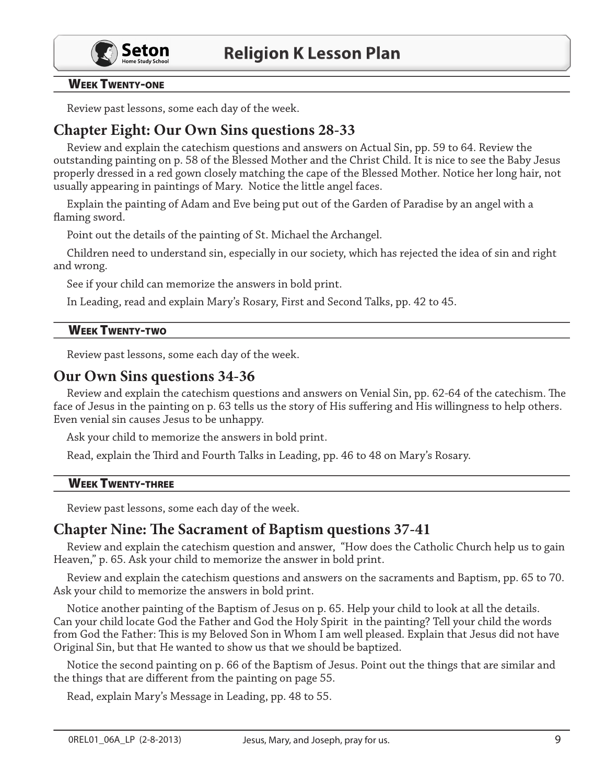

## **WEEK TWENTY-ONE**

Review past lessons, some each day of the week.

# **Chapter Eight: Our Own Sins questions 28-33**

Review and explain the catechism questions and answers on Actual Sin, pp. 59 to 64. Review the outstanding painting on p. 58 of the Blessed Mother and the Christ Child. It is nice to see the Baby Jesus properly dressed in a red gown closely matching the cape of the Blessed Mother. Notice her long hair, not usually appearing in paintings of Mary. Notice the little angel faces.

Explain the painting of Adam and Eve being put out of the Garden of Paradise by an angel with a flaming sword.

Point out the details of the painting of St. Michael the Archangel.

Children need to understand sin, especially in our society, which has rejected the idea of sin and right and wrong.

See if your child can memorize the answers in bold print.

In Leading, read and explain Mary's Rosary, First and Second Talks, pp. 42 to 45.

## **WEEK TWENTY-TWO**

Review past lessons, some each day of the week.

## Our Own Sins questions 34-36

Review and explain the catechism questions and answers on Venial Sin, pp. 62-64 of the catechism. The face of Jesus in the painting on p. 63 tells us the story of His suffering and His willingness to help others. Even venial sin causes Jesus to be unhappy.

Ask your child to memorize the answers in bold print.

Read, explain the Third and Fourth Talks in Leading, pp. 46 to 48 on Mary's Rosary.

#### **WEEK TWENTY-THREE**

Review past lessons, some each day of the week.

## **Chapter Nine: The Sacrament of Baptism questions 37-41**

Review and explain the catechism question and answer, "How does the Catholic Church help us to gain Heaven," p. 65. Ask your child to memorize the answer in bold print.

Review and explain the catechism questions and answers on the sacraments and Baptism, pp. 65 to 70. Ask your child to memorize the answers in bold print.

Notice another painting of the Baptism of Jesus on p. 65. Help your child to look at all the details. Can your child locate God the Father and God the Holy Spirit in the painting? Tell your child the words from God the Father: This is my Beloved Son in Whom I am well pleased. Explain that Jesus did not have Original Sin, but that He wanted to show us that we should be baptized.

Notice the second painting on p. 66 of the Baptism of Jesus. Point out the things that are similar and the things that are different from the painting on page 55.

Read, explain Mary's Message in Leading, pp. 48 to 55.